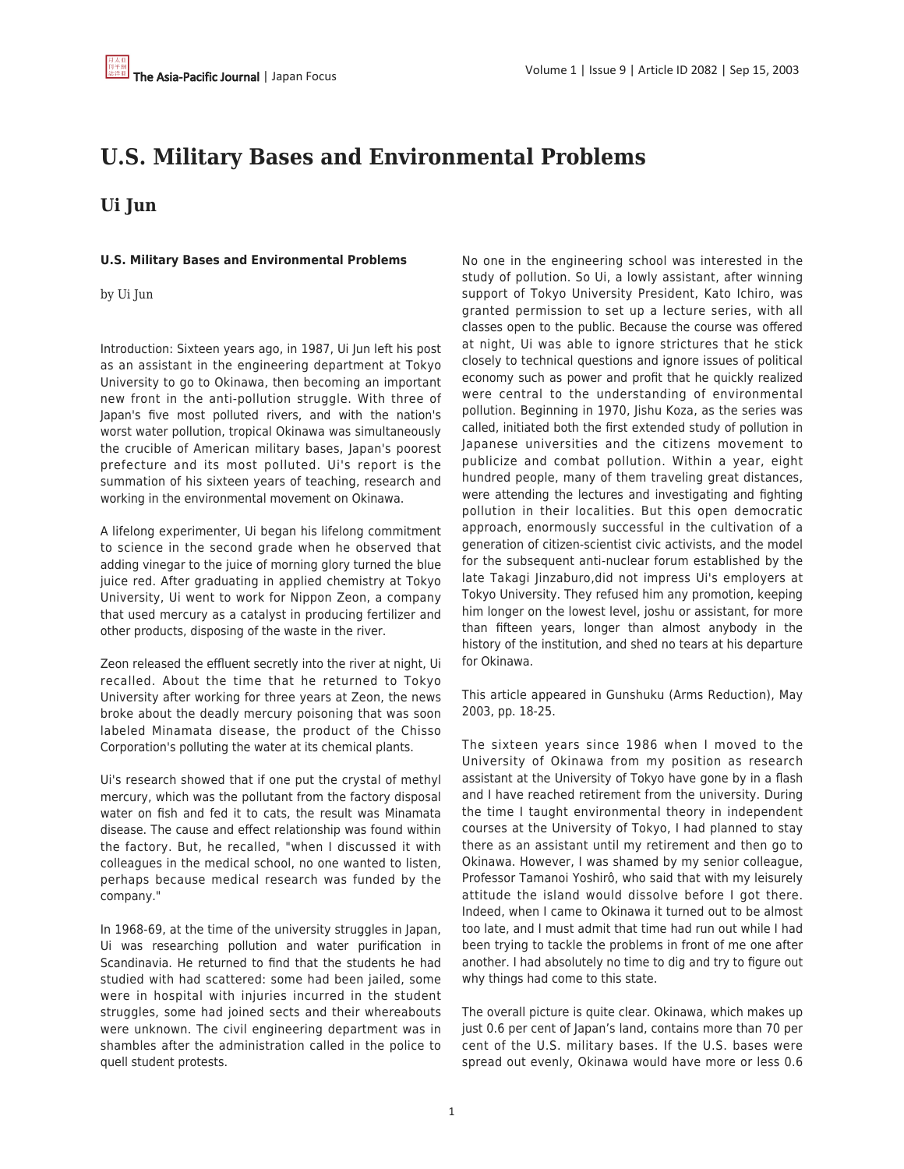# **U.S. Military Bases and Environmental Problems**

# **Ui Jun**

# **U.S. Military Bases and Environmental Problems**

by Ui Jun

Introduction: Sixteen years ago, in 1987, Ui Jun left his post as an assistant in the engineering department at Tokyo University to go to Okinawa, then becoming an important new front in the anti-pollution struggle. With three of Japan's five most polluted rivers, and with the nation's worst water pollution, tropical Okinawa was simultaneously the crucible of American military bases, Japan's poorest prefecture and its most polluted. Ui's report is the summation of his sixteen years of teaching, research and working in the environmental movement on Okinawa.

A lifelong experimenter, Ui began his lifelong commitment to science in the second grade when he observed that adding vinegar to the juice of morning glory turned the blue juice red. After graduating in applied chemistry at Tokyo University, Ui went to work for Nippon Zeon, a company that used mercury as a catalyst in producing fertilizer and other products, disposing of the waste in the river.

Zeon released the effluent secretly into the river at night, Ui recalled. About the time that he returned to Tokyo University after working for three years at Zeon, the news broke about the deadly mercury poisoning that was soon labeled Minamata disease, the product of the Chisso Corporation's polluting the water at its chemical plants.

Ui's research showed that if one put the crystal of methyl mercury, which was the pollutant from the factory disposal water on fish and fed it to cats, the result was Minamata disease. The cause and effect relationship was found within the factory. But, he recalled, "when I discussed it with colleagues in the medical school, no one wanted to listen, perhaps because medical research was funded by the company."

In 1968-69, at the time of the university struggles in Japan, Ui was researching pollution and water purification in Scandinavia. He returned to find that the students he had studied with had scattered: some had been jailed, some were in hospital with injuries incurred in the student struggles, some had joined sects and their whereabouts were unknown. The civil engineering department was in shambles after the administration called in the police to quell student protests.

No one in the engineering school was interested in the study of pollution. So Ui, a lowly assistant, after winning support of Tokyo University President, Kato Ichiro, was granted permission to set up a lecture series, with all classes open to the public. Because the course was offered at night, Ui was able to ignore strictures that he stick closely to technical questions and ignore issues of political economy such as power and profit that he quickly realized were central to the understanding of environmental pollution. Beginning in 1970, Jishu Koza, as the series was called, initiated both the first extended study of pollution in Japanese universities and the citizens movement to publicize and combat pollution. Within a year, eight hundred people, many of them traveling great distances, were attending the lectures and investigating and fighting pollution in their localities. But this open democratic approach, enormously successful in the cultivation of a generation of citizen-scientist civic activists, and the model for the subsequent anti-nuclear forum established by the late Takagi Jinzaburo,did not impress Ui's employers at Tokyo University. They refused him any promotion, keeping him longer on the lowest level, joshu or assistant, for more than fifteen years, longer than almost anybody in the history of the institution, and shed no tears at his departure for Okinawa.

This article appeared in Gunshuku (Arms Reduction), May 2003, pp. 18-25.

The sixteen years since 1986 when I moved to the University of Okinawa from my position as research assistant at the University of Tokyo have gone by in a flash and I have reached retirement from the university. During the time I taught environmental theory in independent courses at the University of Tokyo, I had planned to stay there as an assistant until my retirement and then go to Okinawa. However, I was shamed by my senior colleague, Professor Tamanoi Yoshirô, who said that with my leisurely attitude the island would dissolve before I got there. Indeed, when I came to Okinawa it turned out to be almost too late, and I must admit that time had run out while I had been trying to tackle the problems in front of me one after another. I had absolutely no time to dig and try to figure out why things had come to this state.

The overall picture is quite clear. Okinawa, which makes up just 0.6 per cent of Japan's land, contains more than 70 per cent of the U.S. military bases. If the U.S. bases were spread out evenly, Okinawa would have more or less 0.6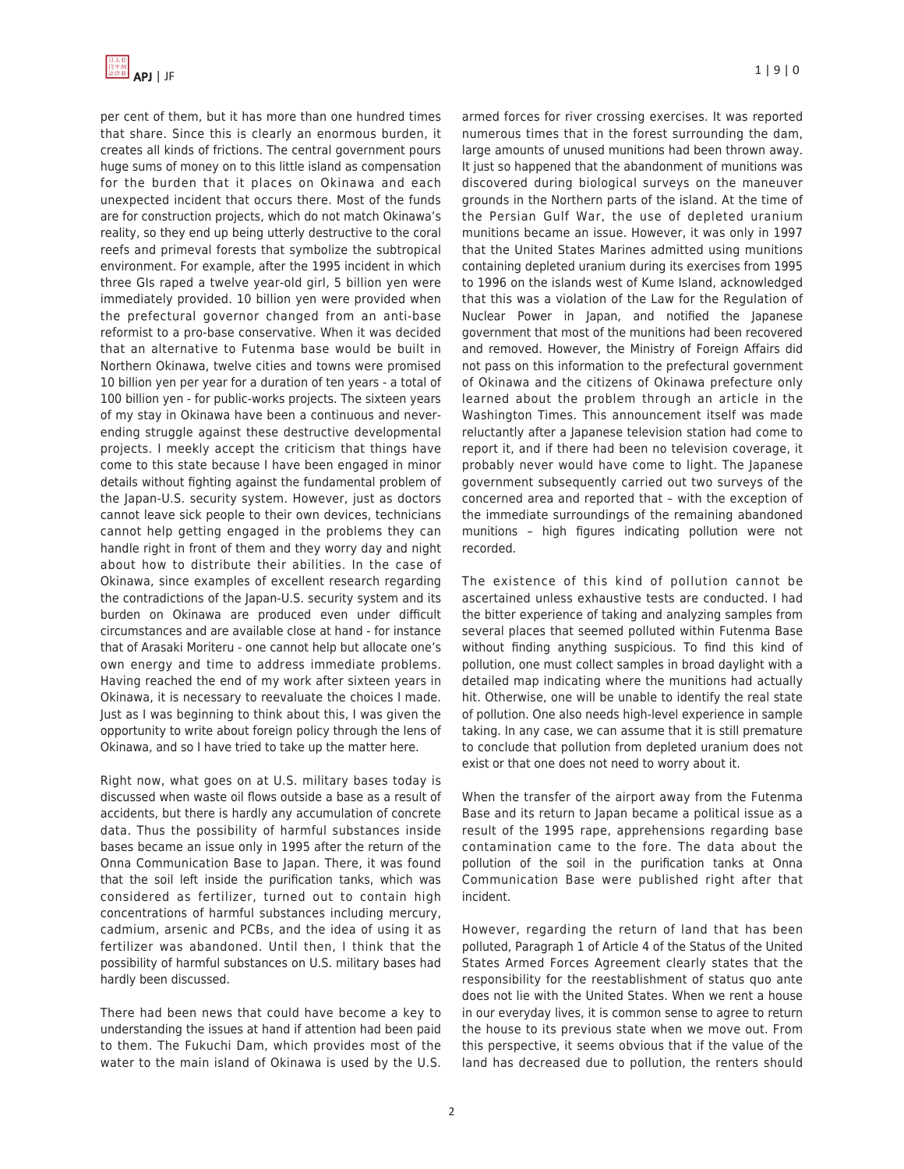

per cent of them, but it has more than one hundred times that share. Since this is clearly an enormous burden, it creates all kinds of frictions. The central government pours huge sums of money on to this little island as compensation for the burden that it places on Okinawa and each unexpected incident that occurs there. Most of the funds are for construction projects, which do not match Okinawa's reality, so they end up being utterly destructive to the coral reefs and primeval forests that symbolize the subtropical environment. For example, after the 1995 incident in which three GIs raped a twelve year-old girl, 5 billion yen were immediately provided. 10 billion yen were provided when the prefectural governor changed from an anti-base reformist to a pro-base conservative. When it was decided that an alternative to Futenma base would be built in Northern Okinawa, twelve cities and towns were promised 10 billion yen per year for a duration of ten years - a total of 100 billion yen - for public-works projects. The sixteen years of my stay in Okinawa have been a continuous and neverending struggle against these destructive developmental projects. I meekly accept the criticism that things have come to this state because I have been engaged in minor details without fighting against the fundamental problem of the Japan-U.S. security system. However, just as doctors cannot leave sick people to their own devices, technicians cannot help getting engaged in the problems they can handle right in front of them and they worry day and night about how to distribute their abilities. In the case of Okinawa, since examples of excellent research regarding the contradictions of the Japan-U.S. security system and its burden on Okinawa are produced even under difficult circumstances and are available close at hand - for instance that of Arasaki Moriteru - one cannot help but allocate one's own energy and time to address immediate problems. Having reached the end of my work after sixteen years in Okinawa, it is necessary to reevaluate the choices I made. Just as I was beginning to think about this, I was given the opportunity to write about foreign policy through the lens of Okinawa, and so I have tried to take up the matter here.

Right now, what goes on at U.S. military bases today is discussed when waste oil flows outside a base as a result of accidents, but there is hardly any accumulation of concrete data. Thus the possibility of harmful substances inside bases became an issue only in 1995 after the return of the Onna Communication Base to Japan. There, it was found that the soil left inside the purification tanks, which was considered as fertilizer, turned out to contain high concentrations of harmful substances including mercury, cadmium, arsenic and PCBs, and the idea of using it as fertilizer was abandoned. Until then, I think that the possibility of harmful substances on U.S. military bases had hardly been discussed.

There had been news that could have become a key to understanding the issues at hand if attention had been paid to them. The Fukuchi Dam, which provides most of the water to the main island of Okinawa is used by the U.S.

armed forces for river crossing exercises. It was reported numerous times that in the forest surrounding the dam, large amounts of unused munitions had been thrown away. It just so happened that the abandonment of munitions was discovered during biological surveys on the maneuver grounds in the Northern parts of the island. At the time of the Persian Gulf War, the use of depleted uranium munitions became an issue. However, it was only in 1997 that the United States Marines admitted using munitions containing depleted uranium during its exercises from 1995 to 1996 on the islands west of Kume Island, acknowledged that this was a violation of the Law for the Regulation of Nuclear Power in Japan, and notified the Japanese government that most of the munitions had been recovered and removed. However, the Ministry of Foreign Affairs did not pass on this information to the prefectural government of Okinawa and the citizens of Okinawa prefecture only learned about the problem through an article in the Washington Times. This announcement itself was made reluctantly after a Japanese television station had come to report it, and if there had been no television coverage, it probably never would have come to light. The Japanese government subsequently carried out two surveys of the concerned area and reported that – with the exception of the immediate surroundings of the remaining abandoned munitions – high figures indicating pollution were not recorded.

The existence of this kind of pollution cannot be ascertained unless exhaustive tests are conducted. I had the bitter experience of taking and analyzing samples from several places that seemed polluted within Futenma Base without finding anything suspicious. To find this kind of pollution, one must collect samples in broad daylight with a detailed map indicating where the munitions had actually hit. Otherwise, one will be unable to identify the real state of pollution. One also needs high-level experience in sample taking. In any case, we can assume that it is still premature to conclude that pollution from depleted uranium does not exist or that one does not need to worry about it.

When the transfer of the airport away from the Futenma Base and its return to Japan became a political issue as a result of the 1995 rape, apprehensions regarding base contamination came to the fore. The data about the pollution of the soil in the purification tanks at Onna Communication Base were published right after that incident.

However, regarding the return of land that has been polluted, Paragraph 1 of Article 4 of the Status of the United States Armed Forces Agreement clearly states that the responsibility for the reestablishment of status quo ante does not lie with the United States. When we rent a house in our everyday lives, it is common sense to agree to return the house to its previous state when we move out. From this perspective, it seems obvious that if the value of the land has decreased due to pollution, the renters should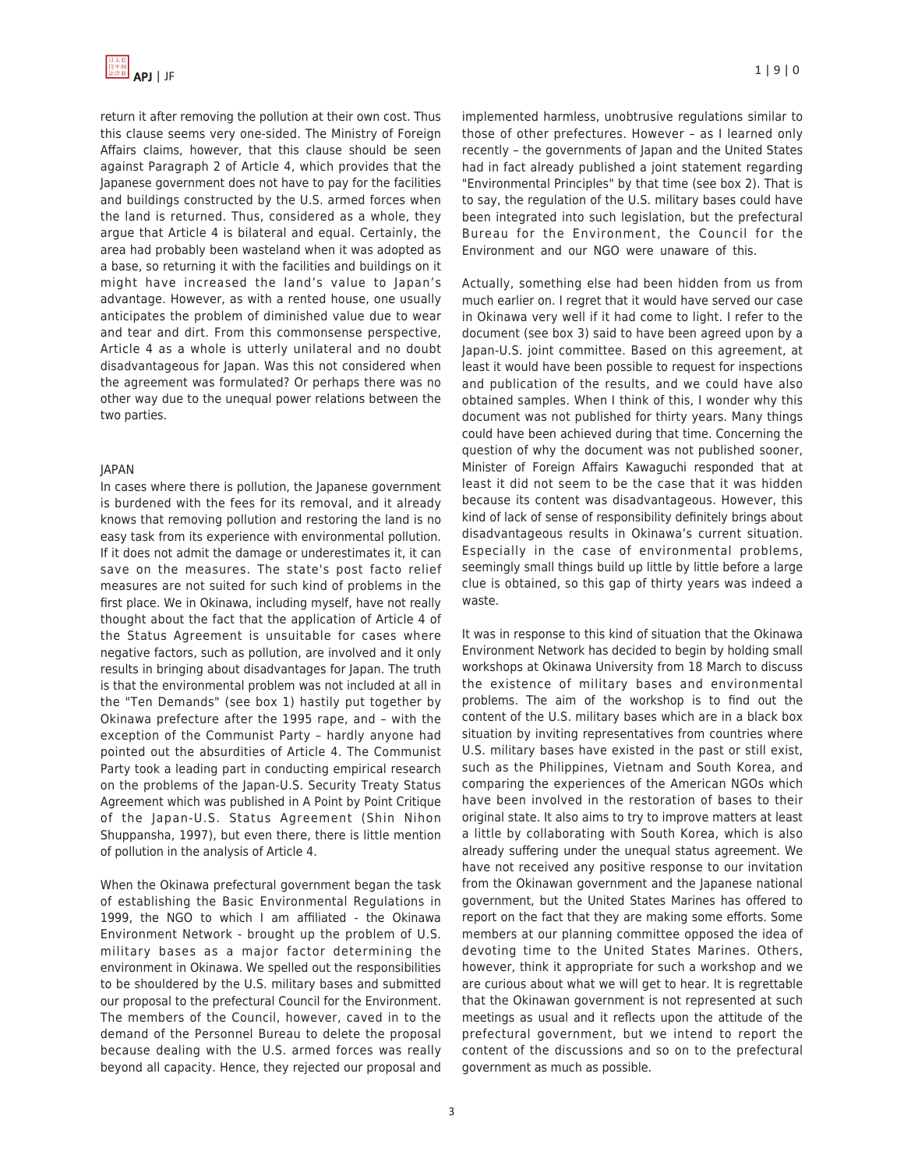return it after removing the pollution at their own cost. Thus this clause seems very one-sided. The Ministry of Foreign Affairs claims, however, that this clause should be seen against Paragraph 2 of Article 4, which provides that the Japanese government does not have to pay for the facilities and buildings constructed by the U.S. armed forces when the land is returned. Thus, considered as a whole, they argue that Article 4 is bilateral and equal. Certainly, the area had probably been wasteland when it was adopted as a base, so returning it with the facilities and buildings on it might have increased the land's value to Japan's advantage. However, as with a rented house, one usually anticipates the problem of diminished value due to wear and tear and dirt. From this commonsense perspective, Article 4 as a whole is utterly unilateral and no doubt disadvantageous for Japan. Was this not considered when the agreement was formulated? Or perhaps there was no other way due to the unequal power relations between the two parties.

## JAPAN

In cases where there is pollution, the Japanese government is burdened with the fees for its removal, and it already knows that removing pollution and restoring the land is no easy task from its experience with environmental pollution. If it does not admit the damage or underestimates it, it can save on the measures. The state's post facto relief measures are not suited for such kind of problems in the first place. We in Okinawa, including myself, have not really thought about the fact that the application of Article 4 of the Status Agreement is unsuitable for cases where negative factors, such as pollution, are involved and it only results in bringing about disadvantages for Japan. The truth is that the environmental problem was not included at all in the "Ten Demands" (see box 1) hastily put together by Okinawa prefecture after the 1995 rape, and – with the exception of the Communist Party – hardly anyone had pointed out the absurdities of Article 4. The Communist Party took a leading part in conducting empirical research on the problems of the Japan-U.S. Security Treaty Status Agreement which was published in A Point by Point Critique of the Japan-U.S. Status Agreement (Shin Nihon Shuppansha, 1997), but even there, there is little mention of pollution in the analysis of Article 4.

When the Okinawa prefectural government began the task of establishing the Basic Environmental Regulations in 1999, the NGO to which I am affiliated - the Okinawa Environment Network - brought up the problem of U.S. military bases as a major factor determining the environment in Okinawa. We spelled out the responsibilities to be shouldered by the U.S. military bases and submitted our proposal to the prefectural Council for the Environment. The members of the Council, however, caved in to the demand of the Personnel Bureau to delete the proposal because dealing with the U.S. armed forces was really beyond all capacity. Hence, they rejected our proposal and implemented harmless, unobtrusive regulations similar to those of other prefectures. However – as I learned only recently – the governments of Japan and the United States had in fact already published a joint statement regarding "Environmental Principles" by that time (see box 2). That is to say, the regulation of the U.S. military bases could have been integrated into such legislation, but the prefectural Bureau for the Environment, the Council for the Environment and our NGO were unaware of this.

Actually, something else had been hidden from us from much earlier on. I regret that it would have served our case in Okinawa very well if it had come to light. I refer to the document (see box 3) said to have been agreed upon by a Japan-U.S. joint committee. Based on this agreement, at least it would have been possible to request for inspections and publication of the results, and we could have also obtained samples. When I think of this, I wonder why this document was not published for thirty years. Many things could have been achieved during that time. Concerning the question of why the document was not published sooner, Minister of Foreign Affairs Kawaguchi responded that at least it did not seem to be the case that it was hidden because its content was disadvantageous. However, this kind of lack of sense of responsibility definitely brings about disadvantageous results in Okinawa's current situation. Especially in the case of environmental problems, seemingly small things build up little by little before a large clue is obtained, so this gap of thirty years was indeed a waste.

It was in response to this kind of situation that the Okinawa Environment Network has decided to begin by holding small workshops at Okinawa University from 18 March to discuss the existence of military bases and environmental problems. The aim of the workshop is to find out the content of the U.S. military bases which are in a black box situation by inviting representatives from countries where U.S. military bases have existed in the past or still exist, such as the Philippines, Vietnam and South Korea, and comparing the experiences of the American NGOs which have been involved in the restoration of bases to their original state. It also aims to try to improve matters at least a little by collaborating with South Korea, which is also already suffering under the unequal status agreement. We have not received any positive response to our invitation from the Okinawan government and the Japanese national government, but the United States Marines has offered to report on the fact that they are making some efforts. Some members at our planning committee opposed the idea of devoting time to the United States Marines. Others, however, think it appropriate for such a workshop and we are curious about what we will get to hear. It is regrettable that the Okinawan government is not represented at such meetings as usual and it reflects upon the attitude of the prefectural government, but we intend to report the content of the discussions and so on to the prefectural government as much as possible.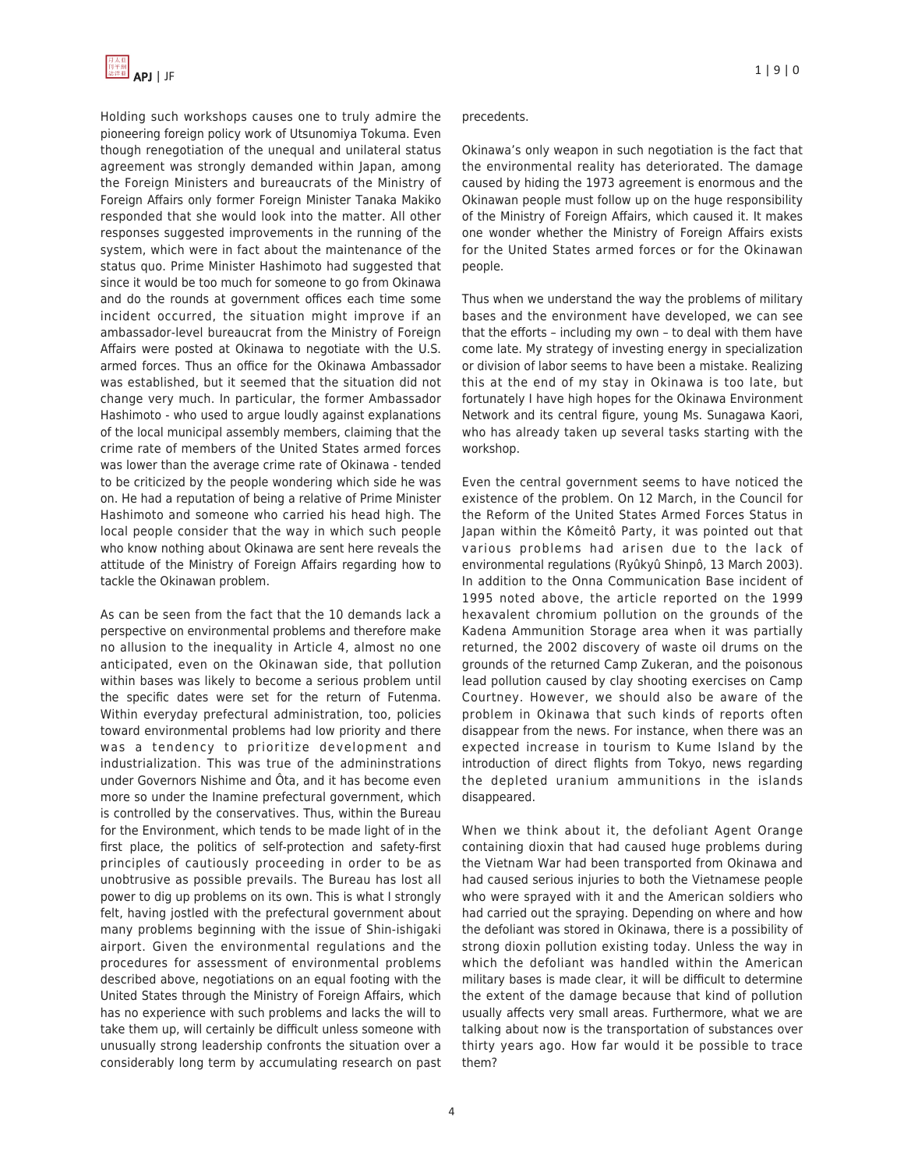

Holding such workshops causes one to truly admire the pioneering foreign policy work of Utsunomiya Tokuma. Even though renegotiation of the unequal and unilateral status agreement was strongly demanded within Japan, among the Foreign Ministers and bureaucrats of the Ministry of Foreign Affairs only former Foreign Minister Tanaka Makiko responded that she would look into the matter. All other responses suggested improvements in the running of the system, which were in fact about the maintenance of the status quo. Prime Minister Hashimoto had suggested that since it would be too much for someone to go from Okinawa and do the rounds at government offices each time some incident occurred, the situation might improve if an ambassador-level bureaucrat from the Ministry of Foreign Affairs were posted at Okinawa to negotiate with the U.S. armed forces. Thus an office for the Okinawa Ambassador was established, but it seemed that the situation did not change very much. In particular, the former Ambassador Hashimoto - who used to argue loudly against explanations of the local municipal assembly members, claiming that the crime rate of members of the United States armed forces was lower than the average crime rate of Okinawa - tended to be criticized by the people wondering which side he was on. He had a reputation of being a relative of Prime Minister Hashimoto and someone who carried his head high. The local people consider that the way in which such people who know nothing about Okinawa are sent here reveals the attitude of the Ministry of Foreign Affairs regarding how to tackle the Okinawan problem.

As can be seen from the fact that the 10 demands lack a perspective on environmental problems and therefore make no allusion to the inequality in Article 4, almost no one anticipated, even on the Okinawan side, that pollution within bases was likely to become a serious problem until the specific dates were set for the return of Futenma. Within everyday prefectural administration, too, policies toward environmental problems had low priority and there was a tendency to prioritize development and industrialization. This was true of the admininstrations under Governors Nishime and Ôta, and it has become even more so under the Inamine prefectural government, which is controlled by the conservatives. Thus, within the Bureau for the Environment, which tends to be made light of in the first place, the politics of self-protection and safety-first principles of cautiously proceeding in order to be as unobtrusive as possible prevails. The Bureau has lost all power to dig up problems on its own. This is what I strongly felt, having jostled with the prefectural government about many problems beginning with the issue of Shin-ishigaki airport. Given the environmental regulations and the procedures for assessment of environmental problems described above, negotiations on an equal footing with the United States through the Ministry of Foreign Affairs, which has no experience with such problems and lacks the will to take them up, will certainly be difficult unless someone with unusually strong leadership confronts the situation over a considerably long term by accumulating research on past

#### precedents.

Okinawa's only weapon in such negotiation is the fact that the environmental reality has deteriorated. The damage caused by hiding the 1973 agreement is enormous and the Okinawan people must follow up on the huge responsibility of the Ministry of Foreign Affairs, which caused it. It makes one wonder whether the Ministry of Foreign Affairs exists for the United States armed forces or for the Okinawan people.

Thus when we understand the way the problems of military bases and the environment have developed, we can see that the efforts – including my own – to deal with them have come late. My strategy of investing energy in specialization or division of labor seems to have been a mistake. Realizing this at the end of my stay in Okinawa is too late, but fortunately I have high hopes for the Okinawa Environment Network and its central figure, young Ms. Sunagawa Kaori, who has already taken up several tasks starting with the workshop.

Even the central government seems to have noticed the existence of the problem. On 12 March, in the Council for the Reform of the United States Armed Forces Status in Japan within the Kômeitô Party, it was pointed out that various problems had arisen due to the lack of environmental regulations (Ryûkyû Shinpô, 13 March 2003). In addition to the Onna Communication Base incident of 1995 noted above, the article reported on the 1999 hexavalent chromium pollution on the grounds of the Kadena Ammunition Storage area when it was partially returned, the 2002 discovery of waste oil drums on the grounds of the returned Camp Zukeran, and the poisonous lead pollution caused by clay shooting exercises on Camp Courtney. However, we should also be aware of the problem in Okinawa that such kinds of reports often disappear from the news. For instance, when there was an expected increase in tourism to Kume Island by the introduction of direct flights from Tokyo, news regarding the depleted uranium ammunitions in the islands disappeared.

When we think about it, the defoliant Agent Orange containing dioxin that had caused huge problems during the Vietnam War had been transported from Okinawa and had caused serious injuries to both the Vietnamese people who were sprayed with it and the American soldiers who had carried out the spraying. Depending on where and how the defoliant was stored in Okinawa, there is a possibility of strong dioxin pollution existing today. Unless the way in which the defoliant was handled within the American military bases is made clear, it will be difficult to determine the extent of the damage because that kind of pollution usually affects very small areas. Furthermore, what we are talking about now is the transportation of substances over thirty years ago. How far would it be possible to trace them?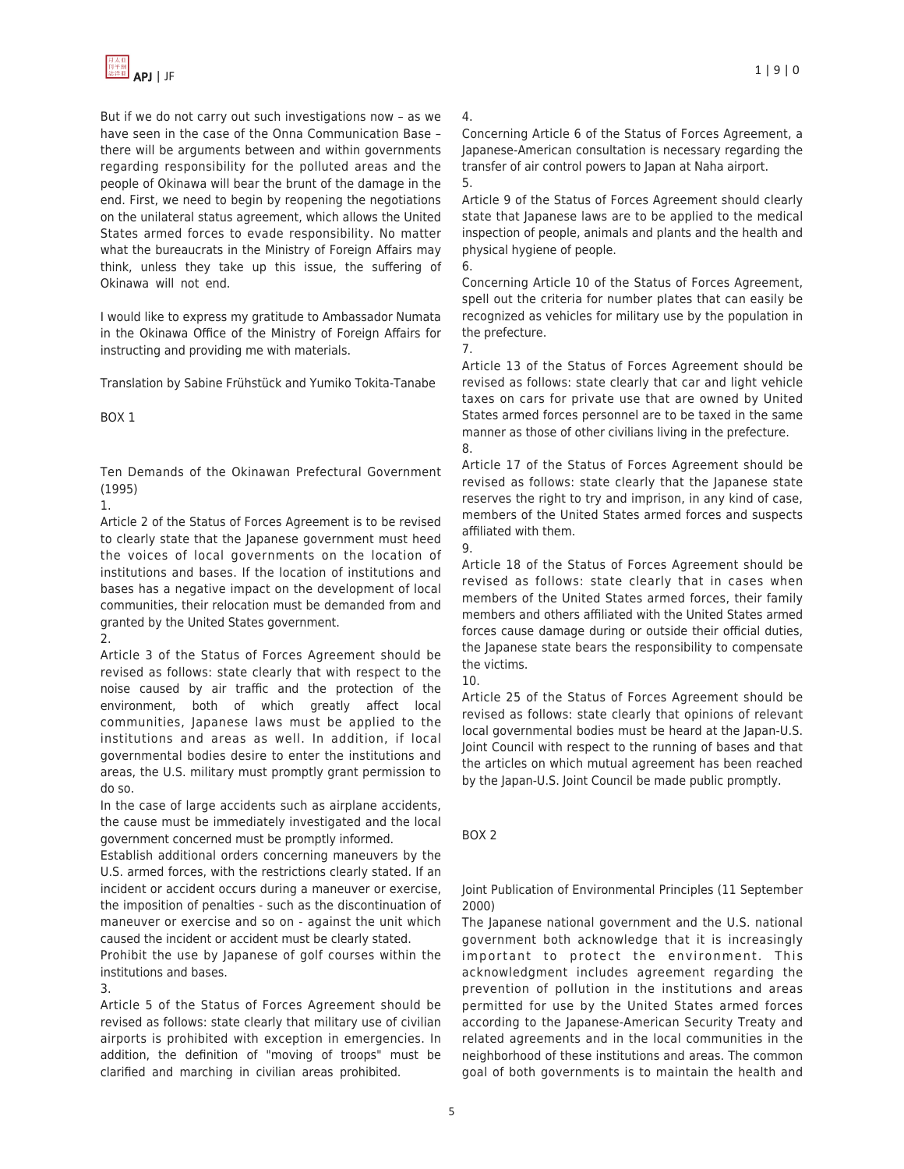

But if we do not carry out such investigations now – as we have seen in the case of the Onna Communication Base – there will be arguments between and within governments regarding responsibility for the polluted areas and the people of Okinawa will bear the brunt of the damage in the end. First, we need to begin by reopening the negotiations on the unilateral status agreement, which allows the United States armed forces to evade responsibility. No matter what the bureaucrats in the Ministry of Foreign Affairs may think, unless they take up this issue, the suffering of Okinawa will not end.

I would like to express my gratitude to Ambassador Numata in the Okinawa Office of the Ministry of Foreign Affairs for instructing and providing me with materials.

Translation by Sabine Frühstück and Yumiko Tokita-Tanabe

# BOX 1

Ten Demands of the Okinawan Prefectural Government (1995)

1.

Article 2 of the Status of Forces Agreement is to be revised to clearly state that the Japanese government must heed the voices of local governments on the location of institutions and bases. If the location of institutions and bases has a negative impact on the development of local communities, their relocation must be demanded from and granted by the United States government. 2.

Article 3 of the Status of Forces Agreement should be revised as follows: state clearly that with respect to the noise caused by air traffic and the protection of the environment, both of which greatly affect local communities, Japanese laws must be applied to the institutions and areas as well. In addition, if local governmental bodies desire to enter the institutions and areas, the U.S. military must promptly grant permission to do so.

In the case of large accidents such as airplane accidents, the cause must be immediately investigated and the local government concerned must be promptly informed.

Establish additional orders concerning maneuvers by the U.S. armed forces, with the restrictions clearly stated. If an incident or accident occurs during a maneuver or exercise, the imposition of penalties - such as the discontinuation of maneuver or exercise and so on - against the unit which caused the incident or accident must be clearly stated.

Prohibit the use by Japanese of golf courses within the institutions and bases.

3.

Article 5 of the Status of Forces Agreement should be revised as follows: state clearly that military use of civilian airports is prohibited with exception in emergencies. In addition, the definition of "moving of troops" must be clarified and marching in civilian areas prohibited.

# 4.

Concerning Article 6 of the Status of Forces Agreement, a Japanese-American consultation is necessary regarding the transfer of air control powers to Japan at Naha airport. 5.

Article 9 of the Status of Forces Agreement should clearly state that Japanese laws are to be applied to the medical inspection of people, animals and plants and the health and physical hygiene of people.

Concerning Article 10 of the Status of Forces Agreement, spell out the criteria for number plates that can easily be recognized as vehicles for military use by the population in the prefecture.

7.

6.

Article 13 of the Status of Forces Agreement should be revised as follows: state clearly that car and light vehicle taxes on cars for private use that are owned by United States armed forces personnel are to be taxed in the same manner as those of other civilians living in the prefecture. 8.

Article 17 of the Status of Forces Agreement should be revised as follows: state clearly that the Japanese state reserves the right to try and imprison, in any kind of case, members of the United States armed forces and suspects affiliated with them.

9.

Article 18 of the Status of Forces Agreement should be revised as follows: state clearly that in cases when members of the United States armed forces, their family members and others affiliated with the United States armed forces cause damage during or outside their official duties, the Japanese state bears the responsibility to compensate the victims.

10.

Article 25 of the Status of Forces Agreement should be revised as follows: state clearly that opinions of relevant local governmental bodies must be heard at the Japan-U.S. Joint Council with respect to the running of bases and that the articles on which mutual agreement has been reached by the Japan-U.S. Joint Council be made public promptly.

BOX 2

Joint Publication of Environmental Principles (11 September 2000)

The Japanese national government and the U.S. national government both acknowledge that it is increasingly important to protect the environment. This acknowledgment includes agreement regarding the prevention of pollution in the institutions and areas permitted for use by the United States armed forces according to the Japanese-American Security Treaty and related agreements and in the local communities in the neighborhood of these institutions and areas. The common goal of both governments is to maintain the health and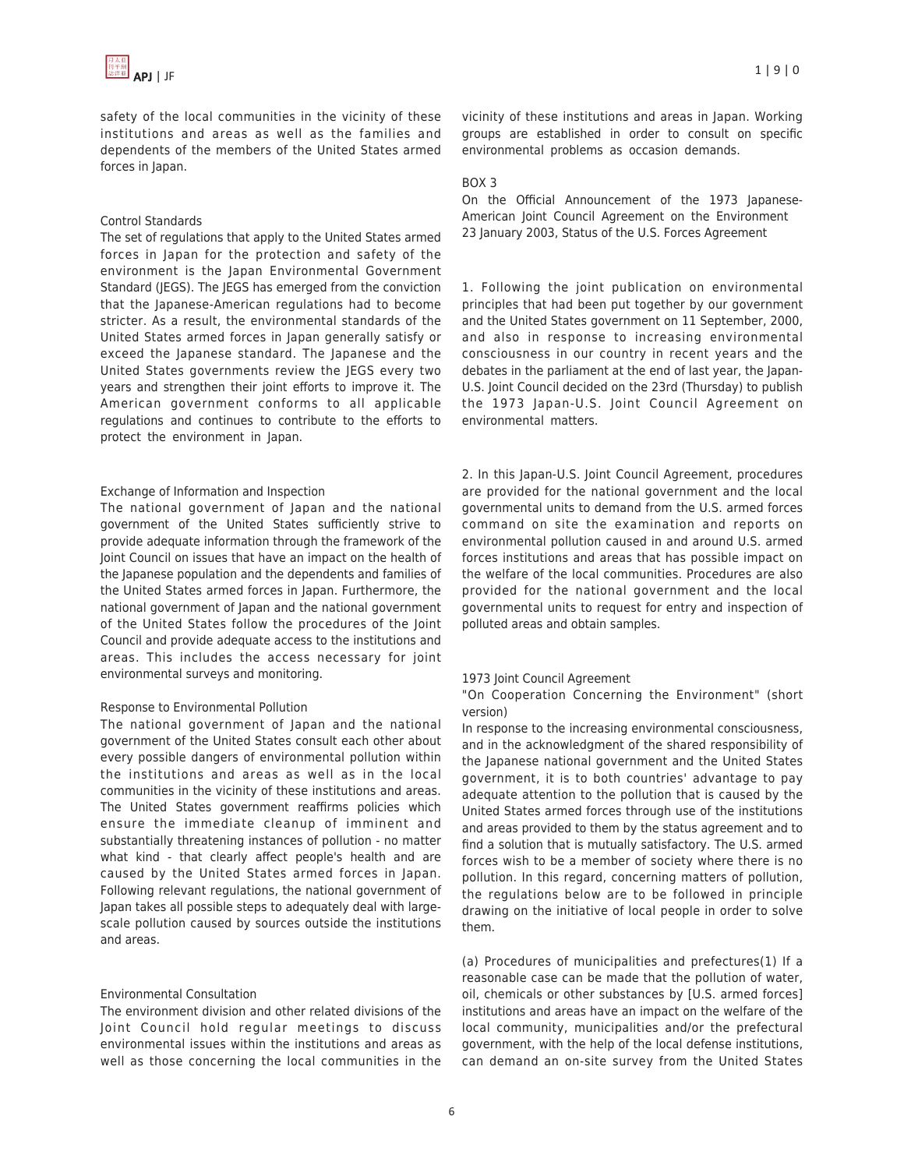safety of the local communities in the vicinity of these institutions and areas as well as the families and dependents of the members of the United States armed forces in Japan.

#### Control Standards

The set of regulations that apply to the United States armed forces in Japan for the protection and safety of the environment is the Japan Environmental Government Standard (JEGS). The JEGS has emerged from the conviction that the Japanese-American regulations had to become stricter. As a result, the environmental standards of the United States armed forces in Japan generally satisfy or exceed the Japanese standard. The Japanese and the United States governments review the JEGS every two years and strengthen their joint efforts to improve it. The American government conforms to all applicable regulations and continues to contribute to the efforts to protect the environment in Japan.

#### Exchange of Information and Inspection

The national government of Japan and the national government of the United States sufficiently strive to provide adequate information through the framework of the Joint Council on issues that have an impact on the health of the Japanese population and the dependents and families of the United States armed forces in Japan. Furthermore, the national government of Japan and the national government of the United States follow the procedures of the Joint Council and provide adequate access to the institutions and areas. This includes the access necessary for joint environmental surveys and monitoring.

#### Response to Environmental Pollution

The national government of Japan and the national government of the United States consult each other about every possible dangers of environmental pollution within the institutions and areas as well as in the local communities in the vicinity of these institutions and areas. The United States government reaffirms policies which ensure the immediate cleanup of imminent and substantially threatening instances of pollution - no matter what kind - that clearly affect people's health and are caused by the United States armed forces in Japan. Following relevant regulations, the national government of Japan takes all possible steps to adequately deal with largescale pollution caused by sources outside the institutions and areas.

## Environmental Consultation

The environment division and other related divisions of the Joint Council hold regular meetings to discuss environmental issues within the institutions and areas as well as those concerning the local communities in the vicinity of these institutions and areas in Japan. Working groups are established in order to consult on specific environmental problems as occasion demands.

#### BOX 3

On the Official Announcement of the 1973 Japanese-American Joint Council Agreement on the Environment 23 January 2003, Status of the U.S. Forces Agreement

1. Following the joint publication on environmental principles that had been put together by our government and the United States government on 11 September, 2000, and also in response to increasing environmental consciousness in our country in recent years and the debates in the parliament at the end of last year, the Japan-U.S. Joint Council decided on the 23rd (Thursday) to publish the 1973 Japan-U.S. Joint Council Agreement on environmental matters.

2. In this Japan-U.S. Joint Council Agreement, procedures are provided for the national government and the local governmental units to demand from the U.S. armed forces command on site the examination and reports on environmental pollution caused in and around U.S. armed forces institutions and areas that has possible impact on the welfare of the local communities. Procedures are also provided for the national government and the local governmental units to request for entry and inspection of polluted areas and obtain samples.

#### 1973 Joint Council Agreement

"On Cooperation Concerning the Environment" (short version)

In response to the increasing environmental consciousness, and in the acknowledgment of the shared responsibility of the Japanese national government and the United States government, it is to both countries' advantage to pay adequate attention to the pollution that is caused by the United States armed forces through use of the institutions and areas provided to them by the status agreement and to find a solution that is mutually satisfactory. The U.S. armed forces wish to be a member of society where there is no pollution. In this regard, concerning matters of pollution, the regulations below are to be followed in principle drawing on the initiative of local people in order to solve them.

(a) Procedures of municipalities and prefectures(1) If a reasonable case can be made that the pollution of water, oil, chemicals or other substances by [U.S. armed forces] institutions and areas have an impact on the welfare of the local community, municipalities and/or the prefectural government, with the help of the local defense institutions, can demand an on-site survey from the United States